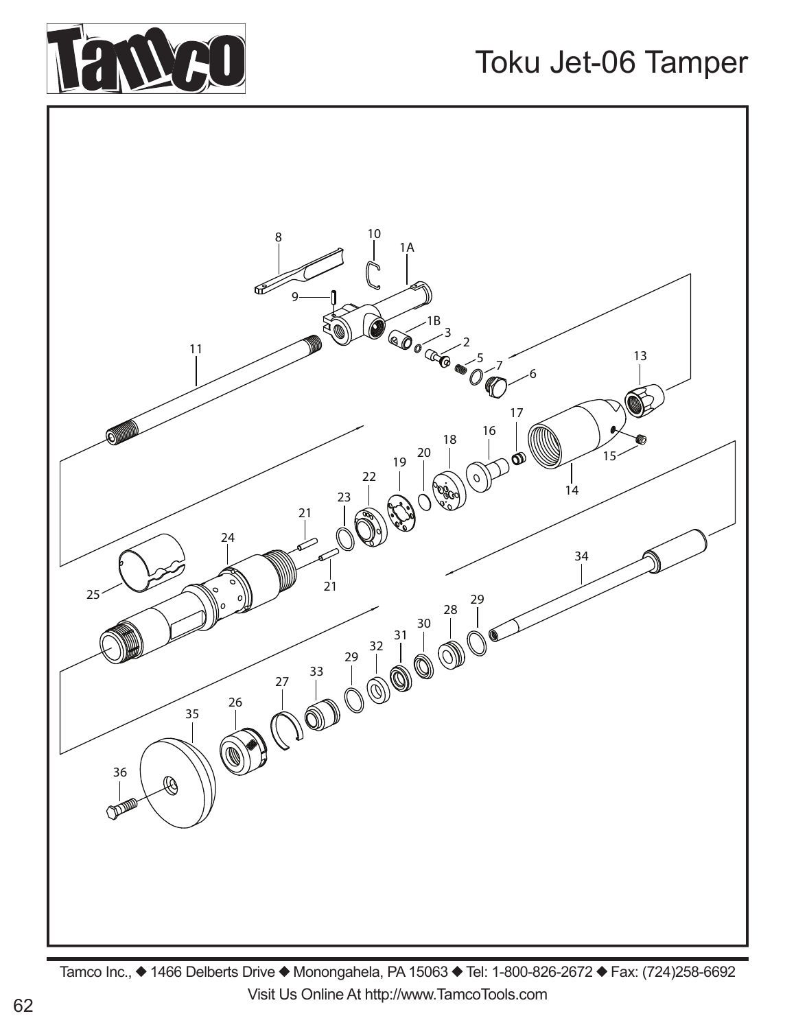

## Toku Jet-06 Tamper



Tamco Inc., ◆ 1466 Delberts Drive ◆ Monongahela, PA 15063 ◆ Tel: 1-800-826-2672 ◆ Fax: (724)258-6692 Visit Us Online At http://www.TamcoTools.com